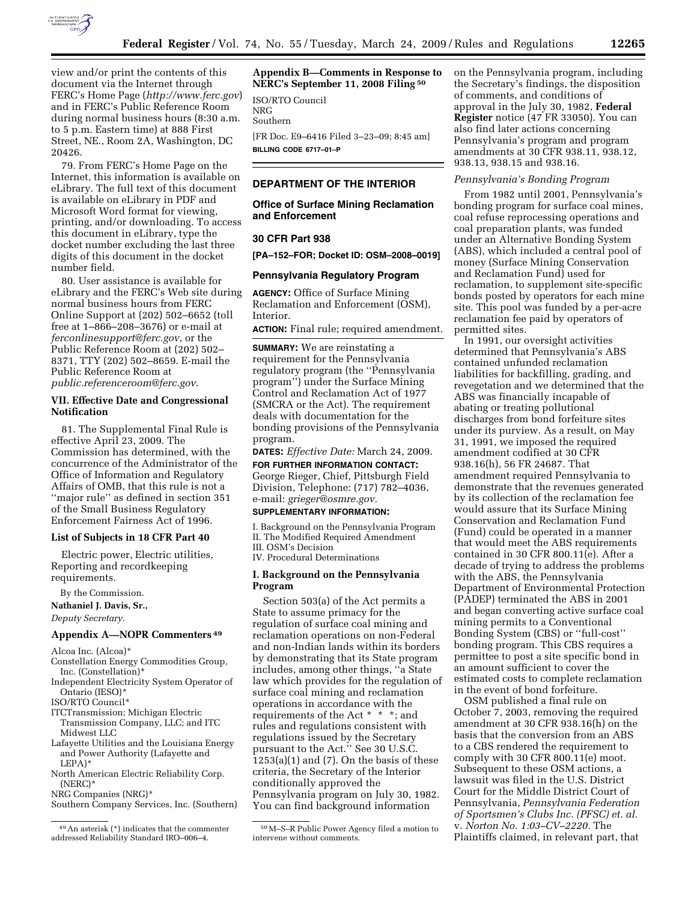

view and/or print the contents of this document via the Internet through FERC's Home Page (*http://www.ferc.gov*) and in FERC's Public Reference Room during normal business hours (8:30 a.m. to 5 p.m. Eastern time) at 888 First Street, NE., Room 2A, Washington, DC 20426.

79. From FERC's Home Page on the Internet, this information is available on eLibrary. The full text of this document is available on eLibrary in PDF and Microsoft Word format for viewing, printing, and/or downloading. To access this document in eLibrary, type the docket number excluding the last three digits of this document in the docket number field.

80. User assistance is available for eLibrary and the FERC's Web site during normal business hours from FERC Online Support at (202) 502–6652 (toll free at 1–866–208–3676) or e-mail at *ferconlinesupport@ferc.gov*, or the Public Reference Room at (202) 502– 8371, TTY (202) 502–8659. E-mail the Public Reference Room at *public.referenceroom@ferc.gov*.

### **VII. Effective Date and Congressional Notification**

81. The Supplemental Final Rule is effective April 23, 2009. The Commission has determined, with the concurrence of the Administrator of the Office of Information and Regulatory Affairs of OMB, that this rule is not a ''major rule'' as defined in section 351 of the Small Business Regulatory Enforcement Fairness Act of 1996.

## **List of Subjects in 18 CFR Part 40**

Electric power, Electric utilities, Reporting and recordkeeping requirements.

By the Commission.

**Nathaniel J. Davis, Sr.,** 

*Deputy Secretary.* 

#### **Appendix A—NOPR Commenters 49**

Alcoa Inc. (Alcoa)\*

- Constellation Energy Commodities Group, Inc. (Constellation)\*
- Independent Electricity System Operator of Ontario (IESO)\*

ISO/RTO Council\*

- ITCTransmission; Michigan Electric Transmission Company, LLC; and ITC Midwest LLC
- Lafayette Utilities and the Louisiana Energy and Power Authority (Lafayette and LEPA)\*
- North American Electric Reliability Corp. (NERC)\*

NRG Companies (NRG)\*

**Appendix B—Comments in Response to NERC's September 11, 2008 Filing 50**

ISO/RTO Council NRG Southern [FR Doc. E9–6416 Filed 3–23–09; 8:45 am] **BILLING CODE 6717–01–P** 

### **DEPARTMENT OF THE INTERIOR**

# **Office of Surface Mining Reclamation and Enforcement**

# **30 CFR Part 938**

**[PA–152–FOR; Docket ID: OSM–2008–0019]** 

### **Pennsylvania Regulatory Program**

**AGENCY:** Office of Surface Mining Reclamation and Enforcement (OSM), Interior.

**ACTION:** Final rule; required amendment.

**SUMMARY:** We are reinstating a requirement for the Pennsylvania regulatory program (the ''Pennsylvania program'') under the Surface Mining Control and Reclamation Act of 1977 (SMCRA or the Act). The requirement deals with documentation for the bonding provisions of the Pennsylvania program.

**DATES:** *Effective Date:* March 24, 2009.

**FOR FURTHER INFORMATION CONTACT:**  George Rieger, Chief, Pittsburgh Field Division, Telephone: (717) 782–4036, e-mail: *grieger@osmre.gov.* 

# **SUPPLEMENTARY INFORMATION:**

I. Background on the Pennsylvania Program II. The Modified Required Amendment III. OSM's Decision

IV. Procedural Determinations

## **I. Background on the Pennsylvania Program**

Section 503(a) of the Act permits a State to assume primacy for the regulation of surface coal mining and reclamation operations on non-Federal and non-Indian lands within its borders by demonstrating that its State program includes, among other things, ''a State law which provides for the regulation of surface coal mining and reclamation operations in accordance with the requirements of the Act \* \* \*; and rules and regulations consistent with regulations issued by the Secretary pursuant to the Act.'' See 30 U.S.C.  $1253(a)(1)$  and  $(7)$ . On the basis of these criteria, the Secretary of the Interior conditionally approved the Pennsylvania program on July 30, 1982. You can find background information

on the Pennsylvania program, including the Secretary's findings, the disposition of comments, and conditions of approval in the July 30, 1982, **Federal Register** notice (47 FR 33050). You can also find later actions concerning Pennsylvania's program and program amendments at 30 CFR 938.11, 938.12, 938.13, 938.15 and 938.16.

### *Pennsylvania's Bonding Program*

From 1982 until 2001, Pennsylvania's bonding program for surface coal mines, coal refuse reprocessing operations and coal preparation plants, was funded under an Alternative Bonding System (ABS), which included a central pool of money (Surface Mining Conservation and Reclamation Fund) used for reclamation, to supplement site-specific bonds posted by operators for each mine site. This pool was funded by a per-acre reclamation fee paid by operators of permitted sites.

In 1991, our oversight activities determined that Pennsylvania's ABS contained unfunded reclamation liabilities for backfilling, grading, and revegetation and we determined that the ABS was financially incapable of abating or treating pollutional discharges from bond forfeiture sites under its purview. As a result, on May 31, 1991, we imposed the required amendment codified at 30 CFR 938.16(h), 56 FR 24687. That amendment required Pennsylvania to demonstrate that the revenues generated by its collection of the reclamation fee would assure that its Surface Mining Conservation and Reclamation Fund (Fund) could be operated in a manner that would meet the ABS requirements contained in 30 CFR 800.11(e). After a decade of trying to address the problems with the ABS, the Pennsylvania Department of Environmental Protection (PADEP) terminated the ABS in 2001 and began converting active surface coal mining permits to a Conventional Bonding System (CBS) or ''full-cost'' bonding program. This CBS requires a permittee to post a site specific bond in an amount sufficient to cover the estimated costs to complete reclamation in the event of bond forfeiture.

OSM published a final rule on October 7, 2003, removing the required amendment at 30 CFR 938.16(h) on the basis that the conversion from an ABS to a CBS rendered the requirement to comply with 30 CFR 800.11(e) moot. Subsequent to these OSM actions, a lawsuit was filed in the U.S. District Court for the Middle District Court of Pennsylvania, *Pennsylvania Federation of Sportsmen's Clubs Inc. (PFSC) et. al.*  v. *Norton No. 1:03–CV–2220.* The Plaintiffs claimed, in relevant part, that

Southern Company Services, Inc. (Southern)

<sup>49</sup>An asterisk (\*) indicates that the commenter addressed Reliability Standard IRO–006–4.

<sup>50</sup>M–S–R Public Power Agency filed a motion to intervene without comments.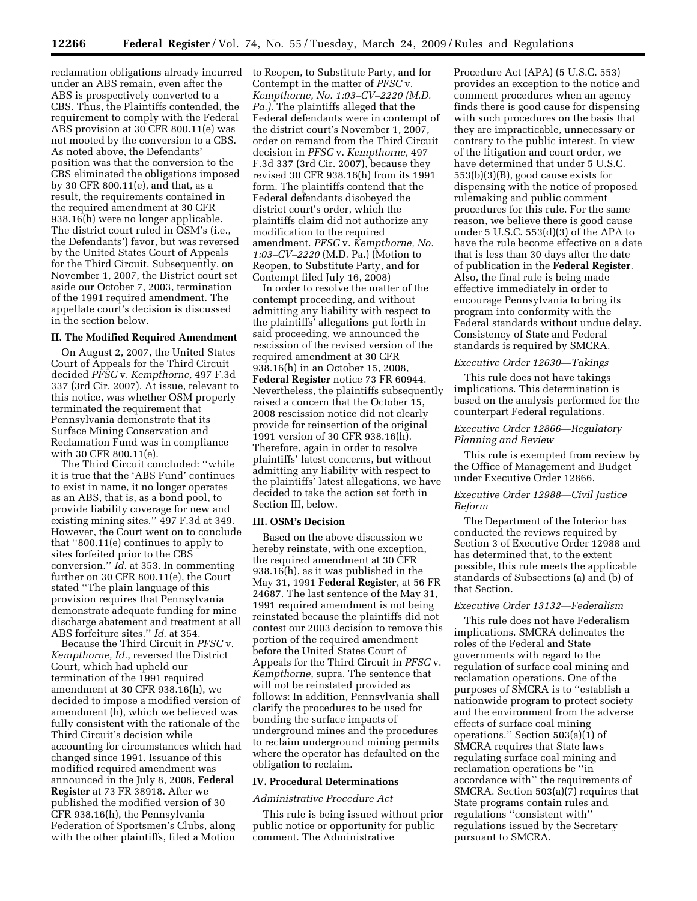**12266 Federal Register** / Vol. 74, No. 55 / Tuesday, March 24, 2009 / Rules and Regulations

reclamation obligations already incurred to Reopen, to Substitute Party, and for under an ABS remain, even after the ABS is prospectively converted to a CBS. Thus, the Plaintiffs contended, the requirement to comply with the Federal ABS provision at 30 CFR 800.11(e) was not mooted by the conversion to a CBS. As noted above, the Defendants' position was that the conversion to the CBS eliminated the obligations imposed by 30 CFR 800.11(e), and that, as a result, the requirements contained in the required amendment at 30 CFR 938.16(h) were no longer applicable. The district court ruled in OSM's (i.e., the Defendants') favor, but was reversed by the United States Court of Appeals for the Third Circuit. Subsequently, on November 1, 2007, the District court set aside our October 7, 2003, termination of the 1991 required amendment. The appellate court's decision is discussed in the section below.

### **II. The Modified Required Amendment**

On August 2, 2007, the United States Court of Appeals for the Third Circuit decided *PFSC* v. *Kempthorne,* 497 F.3d 337 (3rd Cir. 2007). At issue, relevant to this notice, was whether OSM properly terminated the requirement that Pennsylvania demonstrate that its Surface Mining Conservation and Reclamation Fund was in compliance with 30 CFR 800.11(e).

The Third Circuit concluded: ''while it is true that the 'ABS Fund' continues to exist in name, it no longer operates as an ABS, that is, as a bond pool, to provide liability coverage for new and existing mining sites.'' 497 F.3d at 349. However, the Court went on to conclude that ''800.11(e) continues to apply to sites forfeited prior to the CBS conversion.'' *Id.* at 353. In commenting further on 30 CFR 800.11(e), the Court stated ''The plain language of this provision requires that Pennsylvania demonstrate adequate funding for mine discharge abatement and treatment at all ABS forfeiture sites.'' *Id.* at 354.

Because the Third Circuit in *PFSC* v. *Kempthorne, Id.*, reversed the District Court, which had upheld our termination of the 1991 required amendment at 30 CFR 938.16(h), we decided to impose a modified version of amendment (h), which we believed was fully consistent with the rationale of the Third Circuit's decision while accounting for circumstances which had changed since 1991. Issuance of this modified required amendment was announced in the July 8, 2008, **Federal Register** at 73 FR 38918. After we published the modified version of 30 CFR 938.16(h), the Pennsylvania Federation of Sportsmen's Clubs, along with the other plaintiffs, filed a Motion

Contempt in the matter of *PFSC* v. *Kempthorne, No. 1:03–CV–2220 (M.D. Pa.).* The plaintiffs alleged that the Federal defendants were in contempt of the district court's November 1, 2007, order on remand from the Third Circuit decision in *PFSC* v. *Kempthorne,* 497 F.3d 337 (3rd Cir. 2007), because they revised 30 CFR 938.16(h) from its 1991 form. The plaintiffs contend that the Federal defendants disobeyed the district court's order, which the plaintiffs claim did not authorize any modification to the required amendment. *PFSC* v. *Kempthorne, No. 1:03–CV–2220* (M.D. Pa.) (Motion to Reopen, to Substitute Party, and for Contempt filed July 16, 2008)

In order to resolve the matter of the contempt proceeding, and without admitting any liability with respect to the plaintiffs' allegations put forth in said proceeding, we announced the rescission of the revised version of the required amendment at 30 CFR 938.16(h) in an October 15, 2008, **Federal Register** notice 73 FR 60944. Nevertheless, the plaintiffs subsequently raised a concern that the October 15, 2008 rescission notice did not clearly provide for reinsertion of the original 1991 version of 30 CFR 938.16(h). Therefore, again in order to resolve plaintiffs' latest concerns, but without admitting any liability with respect to the plaintiffs' latest allegations, we have decided to take the action set forth in Section III, below.

#### **III. OSM's Decision**

Based on the above discussion we hereby reinstate, with one exception, the required amendment at 30 CFR 938.16(h), as it was published in the May 31, 1991 **Federal Register**, at 56 FR 24687. The last sentence of the May 31, 1991 required amendment is not being reinstated because the plaintiffs did not contest our 2003 decision to remove this portion of the required amendment before the United States Court of Appeals for the Third Circuit in *PFSC* v. *Kempthorne,* supra. The sentence that will not be reinstated provided as follows: In addition, Pennsylvania shall clarify the procedures to be used for bonding the surface impacts of underground mines and the procedures to reclaim underground mining permits where the operator has defaulted on the obligation to reclaim.

### **IV. Procedural Determinations**

### *Administrative Procedure Act*

This rule is being issued without prior public notice or opportunity for public comment. The Administrative

Procedure Act (APA) (5 U.S.C. 553) provides an exception to the notice and comment procedures when an agency finds there is good cause for dispensing with such procedures on the basis that they are impracticable, unnecessary or contrary to the public interest. In view of the litigation and court order, we have determined that under 5 U.S.C. 553(b)(3)(B), good cause exists for dispensing with the notice of proposed rulemaking and public comment procedures for this rule. For the same reason, we believe there is good cause under 5 U.S.C. 553(d)(3) of the APA to have the rule become effective on a date that is less than 30 days after the date of publication in the **Federal Register**. Also, the final rule is being made effective immediately in order to encourage Pennsylvania to bring its program into conformity with the Federal standards without undue delay. Consistency of State and Federal standards is required by SMCRA.

### *Executive Order 12630—Takings*

This rule does not have takings implications. This determination is based on the analysis performed for the counterpart Federal regulations.

### *Executive Order 12866—Regulatory Planning and Review*

This rule is exempted from review by the Office of Management and Budget under Executive Order 12866.

### *Executive Order 12988—Civil Justice Reform*

The Department of the Interior has conducted the reviews required by Section 3 of Executive Order 12988 and has determined that, to the extent possible, this rule meets the applicable standards of Subsections (a) and (b) of that Section.

### *Executive Order 13132—Federalism*

This rule does not have Federalism implications. SMCRA delineates the roles of the Federal and State governments with regard to the regulation of surface coal mining and reclamation operations. One of the purposes of SMCRA is to ''establish a nationwide program to protect society and the environment from the adverse effects of surface coal mining operations.'' Section 503(a)(1) of SMCRA requires that State laws regulating surface coal mining and reclamation operations be ''in accordance with'' the requirements of SMCRA. Section 503(a)(7) requires that State programs contain rules and regulations ''consistent with'' regulations issued by the Secretary pursuant to SMCRA.